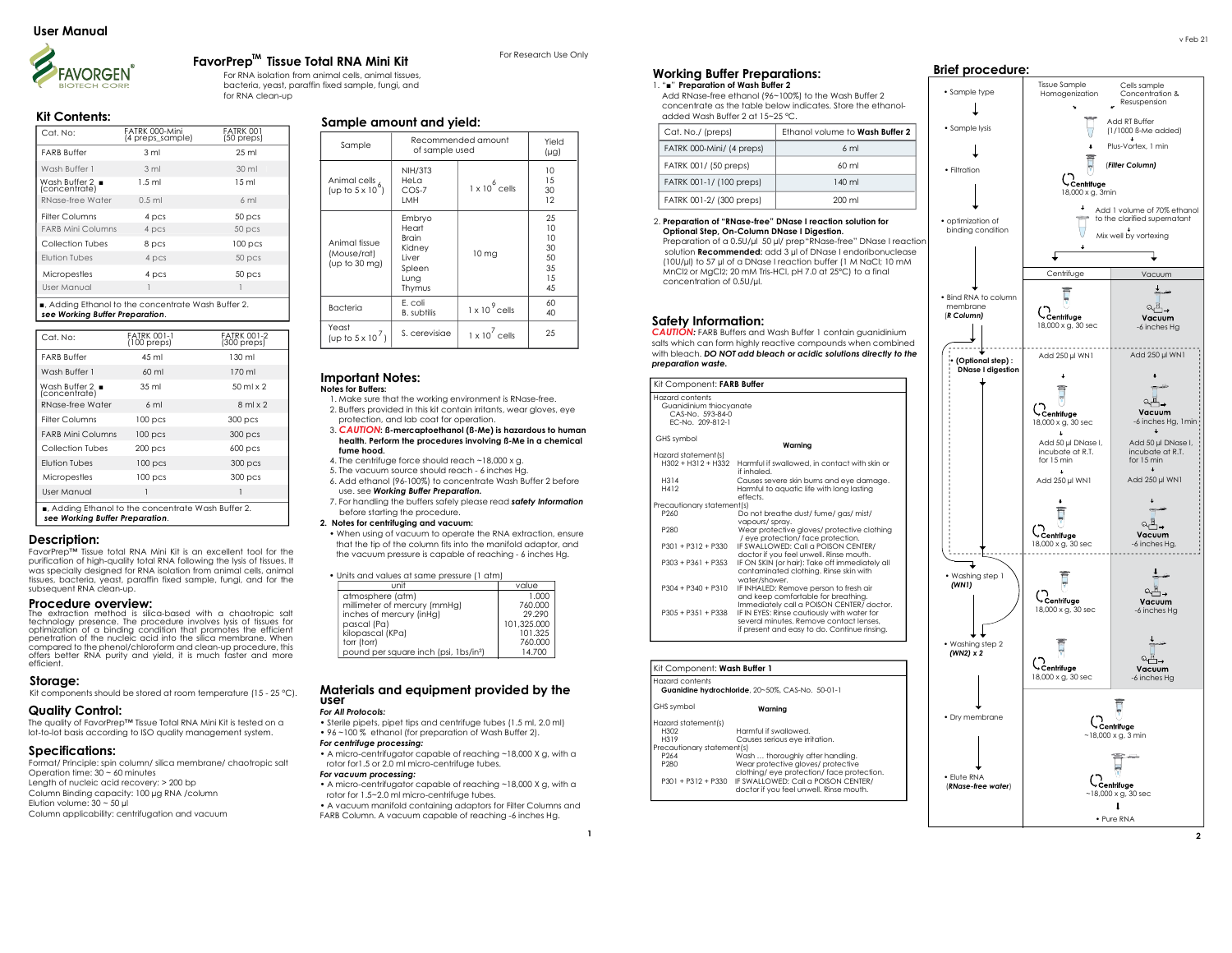

## FavorPrep<sup>tM</sup> Tissue Total RNA Mini Kit **The State of Research Use Only**

 For RNA isolation from animal cells, animal tissues, bacteria, yeast, paraffin fixed sample, fungi, and for RNA clean-up

## Kit Contents:

| Cat. No:                 | FATRK 000-Mini<br>(4 preps sample) | <b>FATRK 001</b><br>(50 preps) |
|--------------------------|------------------------------------|--------------------------------|
| <b>FARB Buffer</b>       | 3 <sub>ml</sub>                    | $25 \mathrm{ml}$               |
| Wash Buffer 1            | 3 <sub>m1</sub>                    | 30 ml                          |
| Wash Buffer 2 .          | $1.5$ ml                           | 15 <sub>ml</sub>               |
| RNase-free Water         | $0.5$ ml                           | 6ml                            |
| <b>Filter Columns</b>    | 4 pcs                              | 50 pcs                         |
| <b>FARB Mini Columns</b> | 4 pcs                              | 50 pcs                         |
| Collection Tubes         | 8 pcs                              | $100$ pcs                      |
| <b>Elution Tubes</b>     | 4 pcs                              | 50 pcs                         |
| Micropestles             | 4 pcs                              | 50 pcs                         |
| User Manual              |                                    |                                |

■, Adding Ethanol to the concentrate Wash Buffer 2. see Working Buffer Preparation.

| Cat. No:                                      | <b>FATRK 001-1</b><br>$(100 \text{ preps})$ | <b>FATRK 001-2</b><br>$(300 \text{ preps})$ |
|-----------------------------------------------|---------------------------------------------|---------------------------------------------|
| <b>FARB Buffer</b>                            | 45 ml                                       | 130 ml                                      |
| Wash Buffer 1                                 | $60$ ml                                     | 170 ml                                      |
| Wash Buffer $2 \blacksquare$<br>(concentrate) | 35 <sub>ml</sub>                            | 50 ml x 2                                   |
| RNase-free Water                              | $6 \text{ ml}$                              | $8$ ml $\times$ 2                           |
| Filter Columns                                | $100$ pcs                                   | 300 pcs                                     |
| <b>FARB Mini Columns</b>                      | 100 <sub>pcs</sub>                          | 300 pcs                                     |
| Collection Tubes                              | $200$ pcs                                   | $600$ pcs                                   |
| <b>Flution Tubes</b>                          | $100$ pcs                                   | 300 pcs                                     |
| Micropestles                                  | $100$ pcs                                   | 300 pcs                                     |
| User Manual                                   | 1                                           | 1                                           |

## Description:

FavorPrep™ Tissue total RNA Mini Kit is an excellent tool for the purification of high-quality total RNA following the lysis of tissues. It was specially designed for RNA isolation from animal cells, animal tissues, bacteria, yeast, paraffin fixed sample, fungi, and for the subsequent RNA clean-up.

#### Procedure overview:

The extraction method is silica-based with a chaotropic salt technology presence. The procedure involves lysis of tissues for optimization of a binding condition that promotes the efficient penetration of the nucleic acid into the silica membrane. When compared to the phenol/chloroform and clean-up procedure, this offers better RNA purity and yield, it is much faster and more efficient.

**Storage:**<br>Kit components should be stored at room temperature (15 - 25 °C).

# Quality Control:

The quality of FavorPrep™ Tissue Total RNA Mini Kit is tested on a lot-to-lot basis according to ISO quality management system.

## Specifications:

Format/ Principle: spin column/ silica membrane/ chaotropic salt Operation time: 30 ~ 60 minutes Length of nucleic acid recovery: > 200 bp Column Binding capacity: 100 µg RNA /column Elution volume:  $30 - 50$  µl

Column applicability: centrifugation and vacuum

## Sample amount and yield:

| Sample                                                   | Recommended amount<br>of sample used                                           |                       | Yield<br>$(\mu g)$                            |
|----------------------------------------------------------|--------------------------------------------------------------------------------|-----------------------|-----------------------------------------------|
| Animal cells 6.<br>(up to $5 \times 10^{6}$ )            | <b>NIH/3T3</b><br>HeLa<br>$COS-7$<br><b>IMH</b>                                | $1 \times 10^6$ cells | 10<br>1.5<br>30<br>12                         |
| Animal fissue<br>(Mouse/rat)<br>(up to $30 \text{ mg}$ ) | Embryo<br>Heart<br><b>Brain</b><br>Kidney<br>liver<br>Spleen<br>Lung<br>Thymus | 10 <sub>mg</sub>      | 25<br>10<br>10<br>30<br>50<br>35<br>1.5<br>45 |
| <b>Bacteria</b>                                          | F. coli<br><b>B.</b> subtilis                                                  | $1 \times 10^9$ cells | 60<br>40                                      |
| Yeast<br>(up to $5 \times 10^7$ )                        | S. cerevisiae                                                                  | $1 \times 10^7$ cells | 25                                            |

#### Important Notes: Notes for Buffers:

 1. Make sure that the working environment is RNase-free. 2. Buffers provided in this kit contain irritants, wear gloves, eye protection, and lab coat for operation.

#### 3. CAUTION: ß-mercaptoethanol (ß-Me) is hazardous to human health. Perform the procedures involving ß-Me in a chemical fume hood.

4. The centrifuge force should reach ~18,000 x g.

- 5. The vacuum source should reach 6 inches Hg.
- 6. Add ethanol (96-100%) to concentrate Wash Buffer 2 before use. see Working Buffer Preparation.
- 7. For handling the buffers safely please read safety Information before starting the procedure.

### 2. Notes for centrifuging and vacuum:

 • When using of vacuum to operate the RNA extraction, ensure that the tip of the column fits into the manifold adaptor, and the vacuum pressure is capable of reaching - 6 inches Hg.

|  |  |  | • Units and values at same pressure (1 atm) |  |  |
|--|--|--|---------------------------------------------|--|--|
|  |  |  |                                             |  |  |

| unit                                              | value       |
|---------------------------------------------------|-------------|
| atmosphere (atm)                                  | 1.000       |
| millimeter of mercury (mmHg)                      | 760,000     |
| inches of mercury (inHg)                          | 29.290      |
| pascal (Pa)                                       | 101.325.000 |
| kilopascal (KPa)                                  | 101.325     |
| torr (torr)                                       | 760,000     |
| pound per square inch (psi, 1bs/in <sup>2</sup> ) | 14.700      |

## Materials and equipment provided by the user

## For All Protocols:

• Sterile pipets, pipet tips and centrifuge tubes (1.5 ml, 2.0 ml) • 96 ~100 % ethanol (for preparation of Wash Buffer 2).

## For centrifuge processing:

• A micro-centrifugator capable of reaching ~18,000 X g, with a rotor for1.5 or 2.0 ml micro-centrifuge tubes.

## For vacuum processing:

- A micro-centrifugator capable of reaching ~18,000 X g, with a rotor for 1.5~2.0 ml micro-centrifuge tubes.
- A vacuum manifold containing adaptors for Filter Columns and FARB Column. A vacuum capable of reaching -6 inches Hg.

## Working Buffer Preparations: 1. "■" Preparation of Wash Buffer 2

 Add RNase-free ethanol (96~100%) to the Wash Buffer 2 concentrate as the table below indicates. Store the ethanol added Wash Buffer 2 at 15~25 °C.

| Cat. No./ (preps)         | Ethanol volume to Wash Buffer 2 |
|---------------------------|---------------------------------|
| FATRK 000-Mini/ (4 preps) | 6 <sub>ml</sub>                 |
| FATRK 001/ (50 preps)     | $60 \mathrm{m}$                 |
| FATRK 001-1/ (100 preps)  | 140 ml                          |
| FATRK 001-2/ (300 preps)  | $200 \mathrm{m}$                |

#### 2. Preparation of "RNase-free" DNase I reaction solution for Optional Step, On-Column DNase I Digestion.

 Preparation of a 0.5U/µl 50 µl/ prep"RNase-free" DNase I reaction solution **Recommended:** add 3 ul of DNase Lendoribonuclease (10U/µl) to 57 µl of a DNase I reaction buffer (1 M NaCl; 10 mM MnCl2 or MgCl2; 20 mM Tris-HCl, pH 7.0 at 25ºC) to a final concentration of 0.5U/µl.

## Safety Information:

CAUTION: FARB Buffers and Wash Buffer 1 contain guanidinium salts which can form highly reactive compounds when combined with bleach. DO NOT add bleach or acidic solutions directly to the preparation waste.

| Kit Component: FARB Buffer                                                         |                                                                                                                                        |  |
|------------------------------------------------------------------------------------|----------------------------------------------------------------------------------------------------------------------------------------|--|
| Hazard contents<br>Guanidinium thiocvanate<br>CAS-No. 593-84-0<br>FC-No. 209-812-1 |                                                                                                                                        |  |
| GHS symbol                                                                         | Warning                                                                                                                                |  |
| Hazard statement (s)                                                               |                                                                                                                                        |  |
| $H302 + H312 + H332$                                                               | Harmful if swallowed, in contact with skin or<br>if inhaled.                                                                           |  |
| H314                                                                               | Causes severe skin burns and eye damage.                                                                                               |  |
| H412                                                                               | Harmful to aquatic life with long lasting<br>effects.                                                                                  |  |
| Precautionary statement(s)                                                         |                                                                                                                                        |  |
| P <sub>260</sub>                                                                   | Do not breathe dust/ fume/ gas/ mist/<br>vapours/sprav.                                                                                |  |
| P280                                                                               | Wear protective gloves/ protective clothing<br>/ eye protection/ face protection.                                                      |  |
| $P301 + P312 + P330$                                                               | IF SWALLOWED: Call a POISON CENTER/<br>doctor if you feel unwell. Rinse mouth.                                                         |  |
| $P303 + P361 + P353$                                                               | IF ON SKIN (or hair): Take off immediately all<br>contaminated clothing. Rinse skin with<br>water/shower.                              |  |
| $P304 + P340 + P310$                                                               | IF INHALED: Remove person to fresh air<br>and keep comfortable for breathing.<br>Immediately call a POISON CENTER/ doctor.             |  |
| $P305 + P351 + P338$                                                               | IF IN EYES: Rinse cautiously with water for<br>several minutes. Remove contact lenses.<br>if present and easy to do. Continue rinsing. |  |

### Kit Component: Wash Buffer 1

| Hazard contents<br>Guanidine hydrochloride, 20~50%, CAS-No. 50-01-1 |                                            |  |  |  |
|---------------------------------------------------------------------|--------------------------------------------|--|--|--|
| GHS symbol                                                          | Warnina                                    |  |  |  |
| Hazard statement(s)                                                 |                                            |  |  |  |
| H302                                                                | Harmful if swallowed.                      |  |  |  |
| H319                                                                | Causes serious eve irritation.             |  |  |  |
| Precautionary statement(s)                                          |                                            |  |  |  |
| P <sub>264</sub>                                                    | Wash  thoroughly after handling.           |  |  |  |
| P280                                                                | Wear protective gloves/ protective         |  |  |  |
|                                                                     | clothing/ eye protection/ face protection. |  |  |  |
| $P301 + P312 + P330$                                                | IF SWALLOWED: Call a POISON CENTER/        |  |  |  |
|                                                                     | doctor if you feel unwell. Rinse mouth.    |  |  |  |
|                                                                     |                                            |  |  |  |

## Brief procedure: